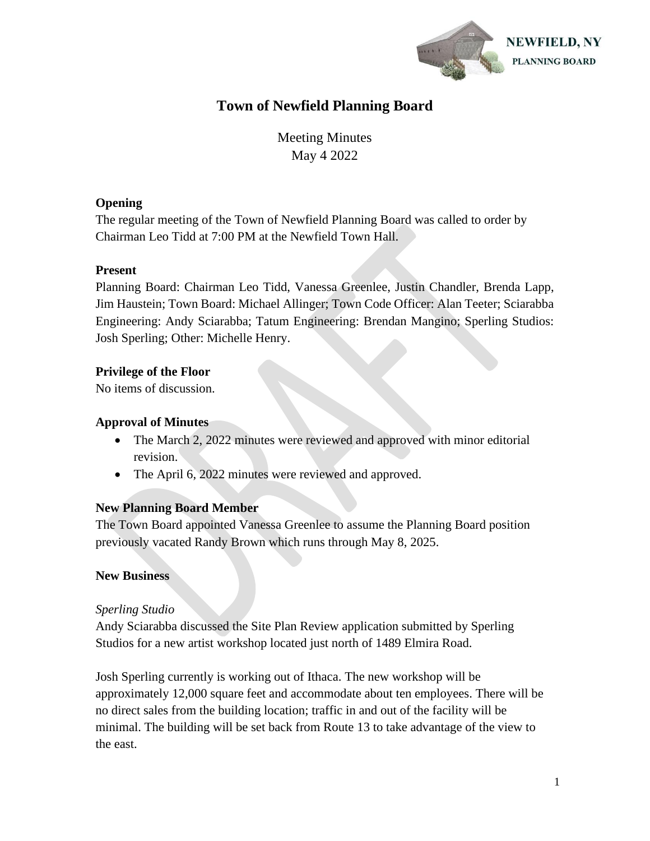

# **Town of Newfield Planning Board**

Meeting Minutes May 4 2022

# **Opening**

The regular meeting of the Town of Newfield Planning Board was called to order by Chairman Leo Tidd at 7:00 PM at the Newfield Town Hall.

# **Present**

Planning Board: Chairman Leo Tidd, Vanessa Greenlee, Justin Chandler, Brenda Lapp, Jim Haustein; Town Board: Michael Allinger; Town Code Officer: Alan Teeter; Sciarabba Engineering: Andy Sciarabba; Tatum Engineering: Brendan Mangino; Sperling Studios: Josh Sperling; Other: Michelle Henry.

# **Privilege of the Floor**

No items of discussion.

# **Approval of Minutes**

- The March 2, 2022 minutes were reviewed and approved with minor editorial revision.
- The April 6, 2022 minutes were reviewed and approved.

# **New Planning Board Member**

The Town Board appointed Vanessa Greenlee to assume the Planning Board position previously vacated Randy Brown which runs through May 8, 2025.

# **New Business**

# *Sperling Studio*

Andy Sciarabba discussed the Site Plan Review application submitted by Sperling Studios for a new artist workshop located just north of 1489 Elmira Road.

Josh Sperling currently is working out of Ithaca. The new workshop will be approximately 12,000 square feet and accommodate about ten employees. There will be no direct sales from the building location; traffic in and out of the facility will be minimal. The building will be set back from Route 13 to take advantage of the view to the east.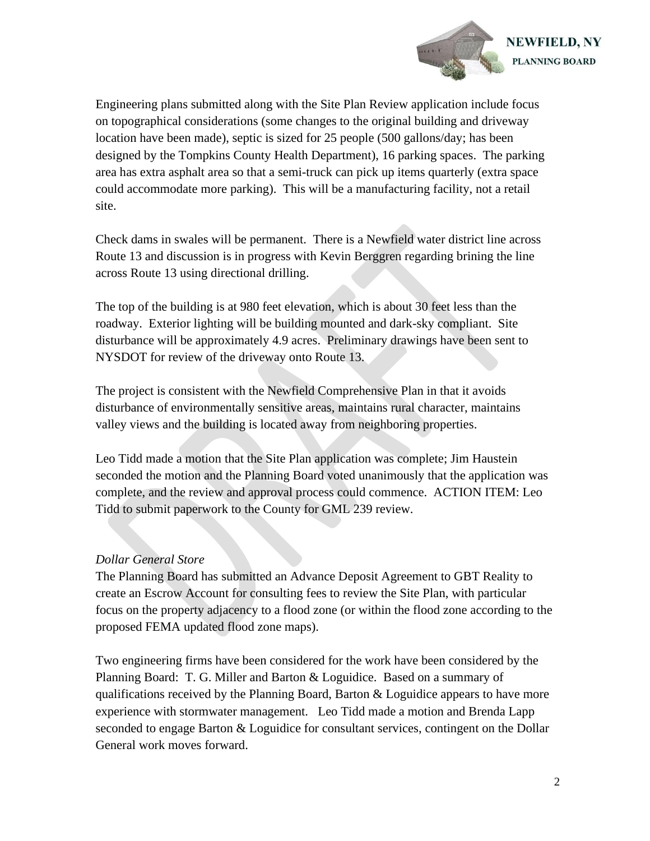

Engineering plans submitted along with the Site Plan Review application include focus on topographical considerations (some changes to the original building and driveway location have been made), septic is sized for 25 people (500 gallons/day; has been designed by the Tompkins County Health Department), 16 parking spaces. The parking area has extra asphalt area so that a semi-truck can pick up items quarterly (extra space could accommodate more parking). This will be a manufacturing facility, not a retail site.

Check dams in swales will be permanent. There is a Newfield water district line across Route 13 and discussion is in progress with Kevin Berggren regarding brining the line across Route 13 using directional drilling.

The top of the building is at 980 feet elevation, which is about 30 feet less than the roadway. Exterior lighting will be building mounted and dark-sky compliant. Site disturbance will be approximately 4.9 acres. Preliminary drawings have been sent to NYSDOT for review of the driveway onto Route 13.

The project is consistent with the Newfield Comprehensive Plan in that it avoids disturbance of environmentally sensitive areas, maintains rural character, maintains valley views and the building is located away from neighboring properties.

Leo Tidd made a motion that the Site Plan application was complete; Jim Haustein seconded the motion and the Planning Board voted unanimously that the application was complete, and the review and approval process could commence. ACTION ITEM: Leo Tidd to submit paperwork to the County for GML 239 review.

#### *Dollar General Store*

The Planning Board has submitted an Advance Deposit Agreement to GBT Reality to create an Escrow Account for consulting fees to review the Site Plan, with particular focus on the property adjacency to a flood zone (or within the flood zone according to the proposed FEMA updated flood zone maps).

Two engineering firms have been considered for the work have been considered by the Planning Board: T. G. Miller and Barton & Loguidice. Based on a summary of qualifications received by the Planning Board, Barton  $&$  Loguidice appears to have more experience with stormwater management. Leo Tidd made a motion and Brenda Lapp seconded to engage Barton & Loguidice for consultant services, contingent on the Dollar General work moves forward.